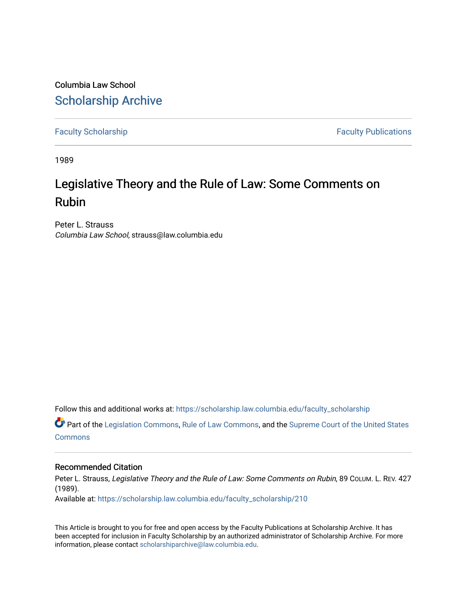Columbia Law School [Scholarship Archive](https://scholarship.law.columbia.edu/) 

[Faculty Scholarship](https://scholarship.law.columbia.edu/faculty_scholarship) **Faculty Scholarship Faculty Publications** 

1989

# Legislative Theory and the Rule of Law: Some Comments on Rubin

Peter L. Strauss Columbia Law School, strauss@law.columbia.edu

Follow this and additional works at: [https://scholarship.law.columbia.edu/faculty\\_scholarship](https://scholarship.law.columbia.edu/faculty_scholarship?utm_source=scholarship.law.columbia.edu%2Ffaculty_scholarship%2F210&utm_medium=PDF&utm_campaign=PDFCoverPages)

Part of the [Legislation Commons](http://network.bepress.com/hgg/discipline/859?utm_source=scholarship.law.columbia.edu%2Ffaculty_scholarship%2F210&utm_medium=PDF&utm_campaign=PDFCoverPages), [Rule of Law Commons](http://network.bepress.com/hgg/discipline/1122?utm_source=scholarship.law.columbia.edu%2Ffaculty_scholarship%2F210&utm_medium=PDF&utm_campaign=PDFCoverPages), and the [Supreme Court of the United States](http://network.bepress.com/hgg/discipline/1350?utm_source=scholarship.law.columbia.edu%2Ffaculty_scholarship%2F210&utm_medium=PDF&utm_campaign=PDFCoverPages) **[Commons](http://network.bepress.com/hgg/discipline/1350?utm_source=scholarship.law.columbia.edu%2Ffaculty_scholarship%2F210&utm_medium=PDF&utm_campaign=PDFCoverPages)** 

# Recommended Citation

Peter L. Strauss, Legislative Theory and the Rule of Law: Some Comments on Rubin, 89 COLUM. L. REV. 427 (1989).

Available at: [https://scholarship.law.columbia.edu/faculty\\_scholarship/210](https://scholarship.law.columbia.edu/faculty_scholarship/210?utm_source=scholarship.law.columbia.edu%2Ffaculty_scholarship%2F210&utm_medium=PDF&utm_campaign=PDFCoverPages) 

This Article is brought to you for free and open access by the Faculty Publications at Scholarship Archive. It has been accepted for inclusion in Faculty Scholarship by an authorized administrator of Scholarship Archive. For more information, please contact [scholarshiparchive@law.columbia.edu.](mailto:scholarshiparchive@law.columbia.edu)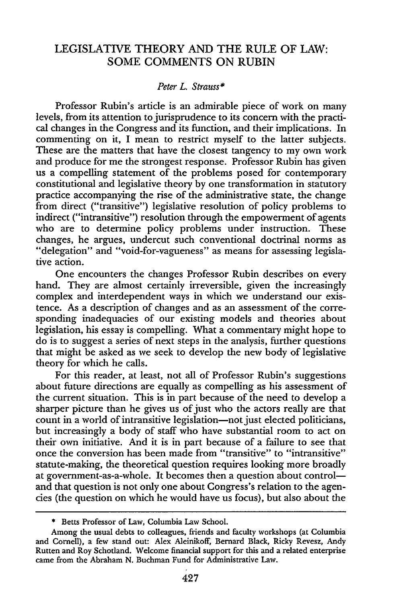# LEGISLATIVE THEORY AND THE RULE OF LAW: SOME COMMENTS ON RUBIN

# *Peter L. Strauss\**

Professor Rubin's article is an admirable piece of work on many levels, from its attention to jurisprudence to its concern with the practical changes in the Congress and its function, and their implications. In commenting on it, I mean to restrict myself to the latter subjects. These are the matters that have the closest tangency to my own work and produce for me the strongest response. Professor Rubin has given us a compelling statement of the problems posed for contemporary constitutional and legislative theory by one transformation in statutory practice accompanying the rise of the administrative state, the change from direct ("transitive") legislative resolution of policy problems to indirect ("intransitive") resolution through the empowerment of agents who are to determine policy problems under instruction. These changes, he argues, undercut such conventional doctrinal norms as "delegation" and "void-for-vagueness" as means for assessing legislative action.

One encounters the changes Professor Rubin describes on every hand. They are almost certainly irreversible, given the increasingly complex and interdependent ways in which we understand our existence. As a description of changes and as an assessment of the corresponding inadequacies of our existing models and theories about legislation, his essay is compelling. What a commentary might hope to do is to suggest a series of next steps in the analysis, further questions that might be asked as we seek to develop the new body of legislative theory for which he calls.

For this reader, at least, not all of Professor Rubin's suggestions about future directions are equally as compelling as his assessment of the current situation. This is in part because of the need to develop a sharper picture than he gives us of just who the actors really are that count in a world of intransitive legislation-not just elected politicians, but increasingly a body of staff who have substantial room to act on their own initiative. And it is in part because of a failure to see that once the conversion has been made from "transitive" to "intransitive" statute-making, the theoretical question requires looking more broadly at government-as-a-whole. It becomes then a question about controland that question is not only one about Congress's relation to the agencies (the question on which he would have us focus), but also about the

<sup>\*</sup> Betts Professor of Law, Columbia Law School.

Among the usual debts to colleagues, friends and faculty workshops (at Columbia and Cornell), a few stand out: Alex Aleinikoff, Bernard Black, Ricky Revesz, Andy Rutten and Roy Schotland. Welcome financial support for this and a related enterprise came from the Abraham N. Buchman Fund for Administrative Law.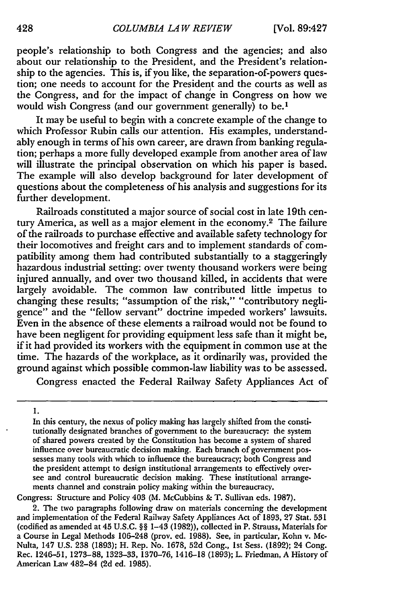people's relationship to both Congress and the agencies; and also about our relationship to the President, and the President's relationship to the agencies. This is, if you like, the separation-of-powers question; one needs to account for the President and the courts as well as the Congress, and for the impact of change in Congress on how we would wish Congress (and our government generally) to be.1

It may be useful to begin with a concrete example of the change to which Professor Rubin calls our attention. His examples, understandably enough in terms of his own career, are drawn from banking regulation; perhaps a more fully developed example from another area of law will illustrate the principal observation on which his paper is based. The example will also develop background for later development of questions about the completeness of his analysis and suggestions for its further development.

Railroads constituted a major source of social cost in late 19th century America, as well as a major element in the economy.<sup>2</sup> The failure of the railroads to purchase effective and available safety technology for their locomotives and freight cars and to implement standards of compatibility among them had contributed substantially to a staggeringly hazardous industrial setting: over twenty thousand workers were being injured annually, and over two thousand killed, in accidents that were largely avoidable. The common law contributed little impetus to changing these results; "assumption of the risk," "contributory negligence" and the "fellow servant" doctrine impeded workers' lawsuits. Even in the absence of these elements a railroad would not be found to have been negligent for providing equipment less safe than it might be, if it had provided its workers with the equipment in common use at the time. The hazards of the workplace, as it ordinarily was, provided the ground against which possible common-law liability was to be assessed.

Congress enacted the Federal Railway Safety Appliances Act of

1.

In this century, the nexus of policy making has largely shifted from the constitutionally designated branches of government to the bureaucracy: the system of shared powers created by the Constitution has become a system of shared influence over bureaucratic decision making. Each branch of government possesses many tools with which to influence the bureaucracy; both Congress and the president attempt to design institutional arrangements to effectively oversee and control bureaucratic decision making. These institutional arrangements channel and constrain policy making within the bureaucracy.

Congress: Structure and Policy 403 (M. McCubbins & T. Sullivan eds. 1987).

2. The two paragraphs following draw on materials concerning the developmen and implementation of the Federal Railway Safety Appliances Act of 1893, 27 Stat. 531 (codified as amended at 45 U.S.C. §§ 1-43 (1982)), collected in P. Strauss, Materials for a Course in Legal Methods 106-248 (prov. ed. 1988). See, in particular, Kohn v. Mc-Nulta, 147 U.S. 238 (1893); H. Rep. No. 1678, 52d Cong., Ist Sess. (1892); 24 Cong. Rec. 1246-51, 1273-88, 1323-33, 1370-76, 1416-18 (1893); L. Friedman, A History of American Law 482-84 (2d ed. 1985).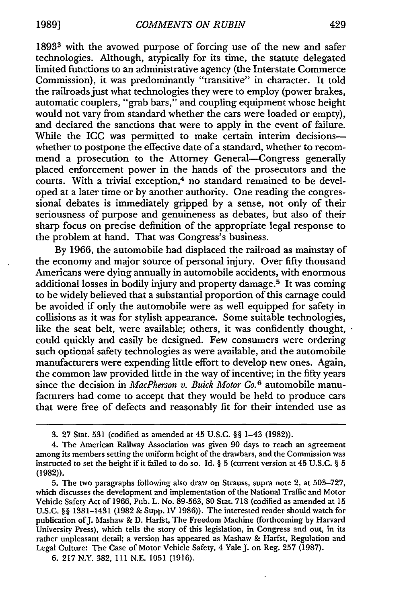18933 with the avowed purpose of forcing use of the new and safer technologies. Although, atypically for its time, the statute delegated limited functions to an administrative agency (the Interstate Commerce Commission), it was predominantly "transitive" in character. It told the railroads just what technologies they were to employ (power brakes, automatic couplers, "grab bars," and coupling equipment whose height would not vary from standard whether the cars were loaded or empty), and declared the sanctions that were to apply in the event of failure. While the ICC was permitted to make certain interim decisionswhether to postpone the effective date of a standard, whether to recommend a prosecution to the Attorney General-Congress generally placed enforcement power in the hands of the prosecutors and the courts. With a trivial exception,<sup>4</sup> no standard remained to be developed at a later time or by another authority. One reading the congressional debates is immediately gripped by a sense, not only of their seriousness of purpose and genuineness as debates, but also of their sharp focus on precise definition of the appropriate legal response to the problem at hand. That was Congress's business.

By 1966, the automobile had displaced the railroad as mainstay of the economy and major source of personal injury. Over fifty thousand Americans were dying annually in automobile accidents, with enormous additional losses in bodily injury and property damage.5 It was coming to be widely believed that a substantial proportion of this carnage could be avoided if only the automobile were as well equipped for safety in collisions as it was for stylish appearance. Some suitable technologies, like the seat belt, were available; others, it was confidently thought, could quickly and easily be designed. Few consumers were ordering such optional safety technologies as were available, and the automobile manufacturers were expending little effort to develop new ones. Again, the common law provided little in the way of incentive; in the fifty years since the decision in *MacPherson v. Buick Motor Co.*<sup>6</sup> automobile manufacturers had come to accept that they would be held to produce cars that were free of defects and reasonably fit for their intended use as

þ,

**<sup>3. 27</sup>** Stat. **531** (codified as amended at 45 U.S.C. §§ 1-43 **(1982)).**

<sup>4.</sup> The American Railway Association was given **90** days to reach an agreement among its members setting the uniform height of the drawbars, and the Commission was instructed to set the height if it failed to do so. **Id.** § **5** (current version at 45 **U.S.C.** § **5** (1982)).

<sup>5.</sup> The two paragraphs following also draw on Strauss, supra note 2, at 503-727, which discusses the development and implementation of the National Traffic and Motor Vehicle Safety Act of 1966, Pub. L. No. 89-563, 80 Stat. 718 (codified as amended at 15 U.S.C. §§ 1381-1431 (1982 & Supp. IV 1986)). The interested reader should watch for publication of J. Mashaw & D. Harfst, The Freedom Machine (forthcoming by Harvard University Press), which tells the story of this legislation, in Congress and out, in its rather unpleasant detail; a version has appeared as Mashaw & Harfst, Regulation and Legal Culture: The Case of Motor Vehicle Safety, 4 Yale J. on Reg. 257 (1987).

<sup>6. 217</sup> N.Y. 382, **111** N.E. 1051 (1916).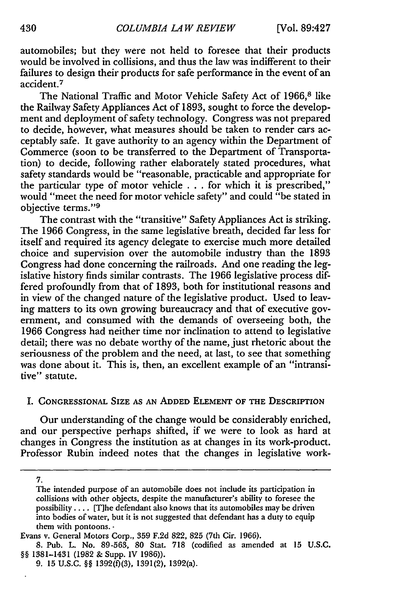automobiles; but they were not held to foresee that their products would be involved in collisions, and thus the law was indifferent to their failures to design their products for safe performance in the event of an accident. <sup>7</sup>

The National Traffic and Motor Vehicle Safety Act of 1966,<sup>8</sup> like the Railway Safety Appliances Act of 1893, sought to force the development and deployment of safety technology. Congress was not prepared to decide, however, what measures should be taken to render cars acceptably safe. It gave authority to an agency within the Department of Commerce (soon to be transferred to the Department of Transportation) to decide, following rather elaborately stated procedures, what safety standards would be "reasonable, practicable and appropriate for the particular type of motor vehicle . . . for which it is prescribed," would "meet the need for motor vehicle safety" and could "be stated in objective terms."<sup>9</sup>

The contrast with the "transitive" Safety Appliances Act is striking. The **1966** Congress, in the same legislative breath, decided far less for itself and required its agency delegate to exercise much more detailed choice and supervision over the automobile industry than the 1893 Congress had done concerning the railroads. And one reading the legislative history finds similar contrasts. The **1966** legislative process differed profoundly from that of 1893, both for institutional reasons and in view of the changed nature of the legislative product. Used to leaving matters to its own growing bureaucracy and that of executive government, and consumed with the demands of overseeing both, the 1966 Congress had neither time nor inclination to attend to legislative detail; there was no debate worthy of the name, just rhetoric about the seriousness of the problem and the need, at last, to see that something was done about it. This is, then, an excellent example of an "intransitive" statute.

#### I. CONGRESSIONAL **SIZE AS AN ADDED ELEMENT** OF THE DESCRIPTION

Our understanding of the change would be considerably enriched, and our perspective perhaps shifted, if we were to look as hard at changes in Congress the institution as at changes in its work-product. Professor Rubin indeed notes that the changes in legislative work-

**<sup>7.</sup>**

The intended purpose of an automobile does not include its participation in collisions with other objects, despite the manufacturer's ability to foresee the possibility .... [T]he defendant also knows that its automobiles may be driven into bodies of water, but it is not suggested that defendant has a duty to equip them with pontoons.-

Evans v. General Motors Corp., **359 F.2d** 822, **825** (7th Cir. **1966).**

<sup>8.</sup> Pub. L. No. 89-563, 80 Stat. 718 (codified as amended at 15 U.S.C. §§ 1381-1431 (1982 & Supp. IV 1986)).

**<sup>9. 15</sup> U.S.C.** §§ **1392(f)(3),** 1391(2), 1392(a).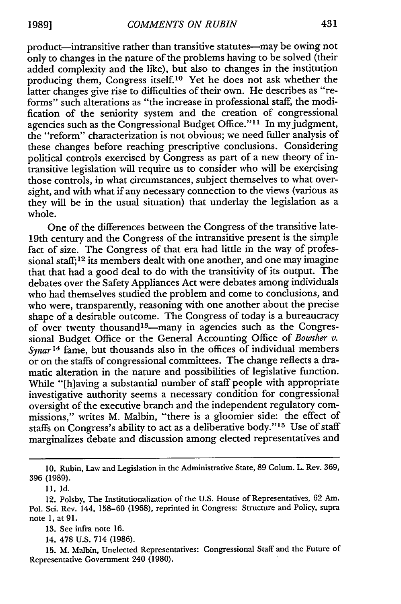product-intransitive rather than transitive statutes-may be owing not only to changes in the nature of the problems having to be solved (their added complexity and the like), but also to changes in the institution producing them, Congress itself.10 Yet he does not ask whether the latter changes give rise to difficulties of their own. He describes as "reforms" such alterations as "the increase in professional staff, the modification of the seniority system and the creation of congressional agencies such as the Congressional Budget Office." $11$  In my judgment, the "reform" characterization is not obvious; we need fuller analysis of these changes before reaching prescriptive conclusions. Considering political controls exercised by Congress as part of a new theory of intransitive legislation will require us to consider who will be exercising those controls, in what circumstances, subject themselves to what oversight, and with what if any necessary connection to the views (various as they will be in the usual situation) that underlay the legislation as a whole.

One of the differences between the Congress of the transitive late-19th century and the Congress of the intransitive present is the simple fact of size. The Congress of that era had little in the way of professional staff;<sup>12</sup> its members dealt with one another, and one may imagine that that had a good deal to do with the transitivity of its output. The debates over the Safety Appliances Act were debates among individuals who had themselves studied the problem and come to conclusions, and who were, transparently, reasoning with one another about the precise shape of a desirable outcome. The Congress of today is a bureaucracy of over twenty thousand<sup>13</sup>—many in agencies such as the Congressional Budget Office or the General Accounting Office of *Bowsher v. Synar14* fame, but thousands also in the offices of individual members or on the staffs of congressional committees. The change reflects a dramatic alteration in the nature and possibilities of legislative function. While "[h]aving a substantial number of staff people with appropriate investigative authority seems a necessary condition for congressional oversight of the executive branch and the independent regulatory commissions," writes M. Malbin, "there is a gloomier side: the effect of staffs on Congress's ability to act as a deliberative body."<sup>15</sup> Use of staff marginalizes debate and discussion among elected representatives and

<sup>10.</sup> Rubin, Law and Legislation in the Administrative State, 89 Colum. L. Rev. 369, **396** (1989).

<sup>11.</sup> Id.

<sup>12.</sup> Polsby, The Institutionalization of the U.S. House of Representatives, 62 Am. Pol. Sci. Rev. 144, 158-60 (1968), reprinted in Congress: Structure and Policy, supra note 1, at 91.

<sup>13.</sup> See infra note 16.

<sup>14. 478</sup> U.S. 714 (1986).

<sup>15.</sup> M. Malbin, Unelected Representatives: Congressional Staff and the Future of Representative Government 240 (1980).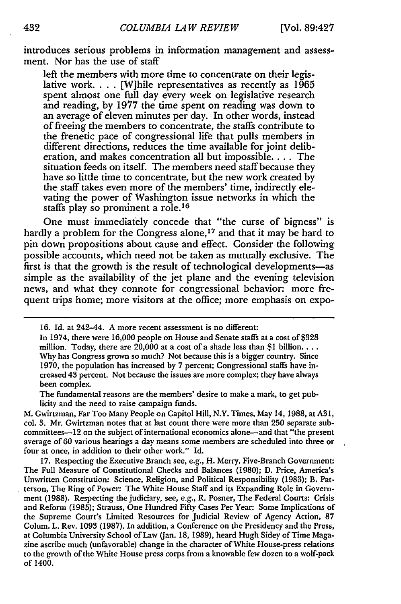introduces serious problems in information management and assessment. Nor has the use of staff

left the members with more time to concentrate on their legislative work **....** [W]hile representatives as recently as **1965** spent almost one full day every week on legislative research and reading, **by 1977** the time spent on reading was down to an average of eleven minutes per day. In other words, instead of freeing the members to concentrate, the staffs contribute to the frenetic pace of congressional life that pulls members in different directions, reduces the time available for joint deliberation, and makes concentration all but impossible.... The situation feeds on itself. The members need staff because they have so little time to concentrate, but the new work created **by** the staff takes even more of the members' time, indirectly elevating the power of Washington issue networks in which the staffs play so prominent a role.<sup>16</sup>

One must immediately concede that "the curse of bigness" is hardly a problem for the Congress alone,<sup>17</sup> and that it may be hard to pin down propositions about cause and effect. Consider the following possible accounts, which need not be taken as mutually exclusive. The first is that the growth is the result of technological developments-as simple as the availability of the jet plane and the evening television news, and what they connote for congressional behavior: more frequent trips home; more visitors at the office; more emphasis on expo-

The fundamental reasons are the members' desire to make a mark, to get publicity and the need to raise campaign funds.

M. Gwirtzman, Far Too Many People on Capitol Hill, N.Y. Times, May 14, **1988,** at **A31, col. 3.** Mr. Gwirtzman notes that at last count there were more than **250** separate subcommittees-12 on the subject of international economics alone-and that "the present average of **60** various hearings a day means some members are scheduled into three or four at once, in addition to their other work." Id.

**17.** Respecting the Executive Branch see, e.g., H. Merry, Five-Branch Government: The Full Measure of Constitutional Checks and Balances **(1980); D.** Price, America's Unwritten Constitution: Science, Religion, and Political Responsibility **(1983); B,** Patterson, The Ring of Power: The White House Staff and its Expanding Role in Government **(1988).** Respecting the judiciary, see, e.g., R. Posner, The Federal Courts: Crisis and Reform **(1985);** Strauss, One Hundred Fifty Cases Per Year: Some Implications of the Supreme Court's Limited Resources for Judicial Review of Agency Action, **87** Colum. L. Rev. **1093 (1987).** In addition, a Conference on the Presidency and the Press, at Columbia University School of Law (Jan. **18, 1989),** heard Hugh Sidey of Time Magazine ascribe much (unfavorable) change in the character of White House-press relations to the growth of the White House press corps from a knowable few dozen to a wolf-pack of 1400.

**<sup>16.</sup>** Id. at 242-44. **A** more recent assessment is no different:

In 1974, there were **16,000** people on House and Senate staffs at a cost of **\$328** million. Today, there are 20,000 at a cost of a shade less than **\$1** billion.... **Why** has Congress grown so much? Not because this is a bigger country, Since **1970,** the population has increased **by 7** percent; Congressional staffs have increased 43 percent. Not because the issues are more complex; they have always been complex.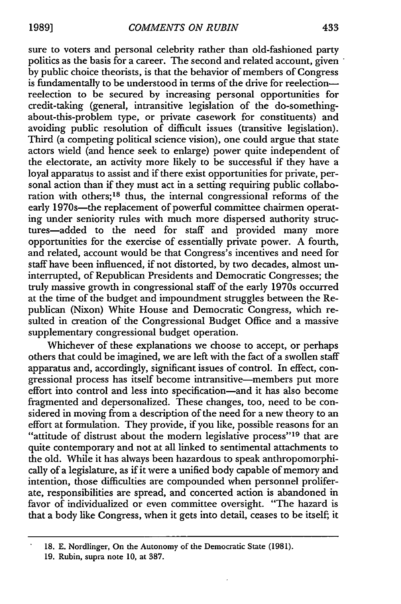sure to voters and personal celebrity rather than old-fashioned party politics as the basis for a career. The second and related account, given by public choice theorists, is that the behavior of members of Congress is fundamentally to be understood in terms of the drive for reelectionreelection to be secured by increasing personal opportunities for credit-taking (general, intransitive legislation of the do-somethingabout-this-problem type, or private casework for constituents) and avoiding public resolution of difficult issues (transitive legislation). Third (a competing political science vision), one could argue that state actors wield (and hence seek to enlarge) power quite independent of the electorate, an activity more likely to be successful if they have a loyal apparatus to assist and if there exist opportunities for private, personal action than if they must act in a setting requiring public collaboration with others;<sup>18</sup> thus, the internal congressional reforms of the early 1970s-the replacement of powerful committee chairmen operating under seniority rules with much more dispersed authority structures-added to the need for staff and provided many more opportunities for the exercise of essentially private power. A fourth, and related, account would be that Congress's incentives and need for staff have been influenced, if not distorted, by two decades, almost uninterrupted, of Republican Presidents and Democratic Congresses; the truly massive growth in congressional staff of the early 1970s occurred at the time of the budget and impoundment struggles between the Republican (Nixon) White House and Democratic Congress, which resulted in creation of the Congressional Budget Office and a massive supplementary congressional budget operation.

Whichever of these explanations we choose to accept, or perhaps others that could be imagined, we are left with the fact of a swollen staff apparatus and, accordingly, significant issues of control. In effect, congressional process has itself become intransitive-members put more effort into control and less into specification-and it has also become fragmented and depersonalized. These changes, too, need to be considered in moving from a description of the need for a new theory to an effort at formulation. They provide, if you like, possible reasons for an "attitude of distrust about the modern legislative process"<sup>19</sup> that are quite contemporary and not at all linked to sentimental attachments to the old. While it has always been hazardous to speak anthropomorphically of a legislature, as if it were a unified body capable of memory and intention, those difficulties are compounded when personnel proliferate, responsibilities are spread, and concerted action is abandoned in favor of individualized or even committee oversight. "The hazard is that a body like Congress, when it gets into detail, ceases to be itself; it

**<sup>18.</sup> E.** Nordlinger, On the Autonomy of the Democratic State (1981).

**<sup>19.</sup>** Rubin, supra note 10, at 387.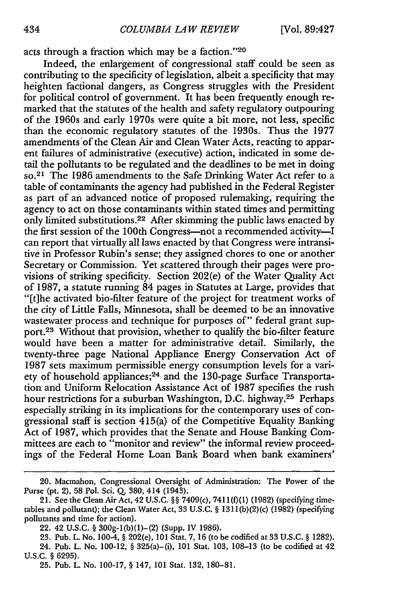acts through a fraction which may be a faction."<sup>20</sup>

Indeed, the enlargement of congressional staff could be seen as contributing to the specificity of legislation, albeit a specificity that may heighten factional dangers, as Congress struggles with the President for political control of government. It has been frequently enough remarked that the statutes of the health and safety regulatory outpouring of the 1960s and early 1970s were quite a bit more, not less, specific than the economic regulatory statutes of the 1930s. Thus the 1977 amendments of the Clean Air and Clean Water Acts, reacting to apparent failures of administrative (executive) action, indicated in some detail the pollutants to be regulated and the deadlines to be met in doing **so. <sup>2</sup> <sup>1</sup>**The 1986 amendments to the Safe Drinking Water Act refer to a table of contaminants the agency had published in the Federal Register as part of an advanced notice of proposed rulemaking, requiring the agency to act on those contaminants within stated times and permitting only limited substitutions.<sup>22</sup> After skimming the public laws enacted by the first session of the 100th Congress—not a recommended activity—I can report that virtually all laws enacted by that Congress were intransitive in Professor Rubin's sense; they assigned chores to one or another Secretary or Commission. Yet scattered through their pages were provisions of striking specificity. Section 202(e) of the Water Quality Act of 1987, a statute running 84 pages in Statutes at Large, provides that "[t]he activated bio-filter feature of the project for treatment works of the city of Little Falls, Minnesota, shall be deemed to be an innovative wastewater process and technique for purposes of" federal grant support.23 Without that provision, whether to qualify the bio-filter feature would have been a matter for administrative detail. Similarly, the twenty-three page National Appliance Energy Conservation Act of 1987 sets maximum permissible energy consumption levels for a variety of household appliances; 24 and the 130-page Surface Transportation and Uniform Relocation Assistance Act of 1987 specifies the rush hour restrictions for a suburban Washington, D.C. highway.<sup>25</sup> Perhaps especially striking in its implications for the contemporary uses of congressional staff is section 415(a) of the Competitive Equality Banking Act of 1987, which provides that the Senate and House Banking Committees are each to "monitor and review" the informal review proceedings of the Federal Home Loan Bank Board when bank examiners'

<sup>20.</sup> Macmahon, Congressional Oversight of Administration: The Power of the Purse (pt. 2), **58** Pol. Sci. **Q.** 380, 414 (1943).

<sup>21.</sup> See the Clean Air Act, 42 U.S.C. §§ 7409(c), 7411(f)(1) (1982) (specifying timetables and pollutant); the Clean Water Act, 33 U.S.C. § 131 I(b)(2)(c) (1982) (specifying pollutants and time for action).

<sup>22. 42</sup> U.S.C. § 300g-l(b)(1)-(2) (Supp. IV 1986).

<sup>23.</sup> Pub. L. No. 100-4, § 202(e), 101 Stat. 7, 16 (to be codified at 33 U.S.C. § 1282). 24. Pub. L. No. 100-12, § 325(a)-(i), 101 Stat. 103, 108-13 (to be codified at 42 U.S.C. § 6295).

<sup>25.</sup> Pub. L. No. **100-17,** § 147, **101** Stat. 132, 180-81.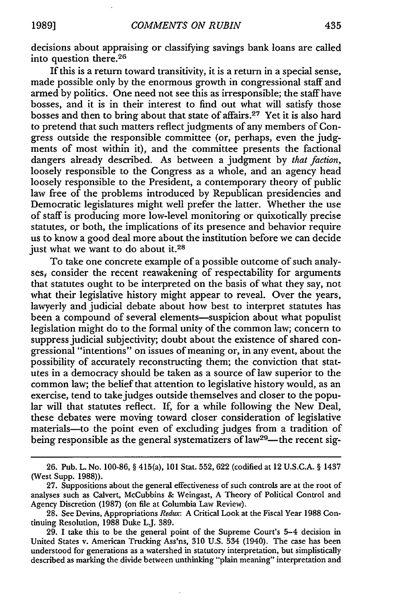**1989]**

decisions about appraising or classifying savings bank loans are called into question there.<sup>26</sup>

If this is a return toward transitivity, it is a return in a special sense, made possible only by the enormous growth in congressional staff and armed by politics. One need not see this as irresponsible; the staff have bosses, and it is in their interest to find out what will satisfy those bosses and then to bring about that state of affairs.<sup>27</sup> Yet it is also hard to pretend that such matters reflect judgments of any members of Congress outside the responsible committee (or, perhaps, even the judgments of most within it), and the committee presents the factional dangers already described. As between a judgment by *that faction,* loosely responsible to the Congress as a whole, and an agency head loosely responsible to the President, a contemporary theory of public law free of the problems introduced by Republican presidencies and Democratic legislatures might well prefer the latter. Whether the use of staff is producing more low-level monitoring or quixotically precise statutes, or both, the implications of its presence and behavior require us to know a good deal more about the institution before we can decide just what we want to do about it.<sup>28</sup>

To take one concrete example of a possible outcome of such analyses, consider the recent reawakening of respectability for arguments that statutes ought to be interpreted on the basis of what they say, not what their legislative history might appear to reveal. Over the years, lawyerly and judicial debate about how best to interpret statutes has been a compound of several elements-suspicion about what populist legislation might do to the formal unity of the common law; concern to suppress judicial subjectivity; doubt about the existence of shared congressional "intentions" on issues of meaning or, in any event, about the possibility of accurately reconstructing them; the conviction that statutes in a democracy should be taken as a source of law superior to the common law; the belief that attention to legislative history would, as an exercise, tend to take judges outside themselves and closer to the popular will that statutes reflect. If, for a while following the New Deal, these debates were moving toward closer consideration of legislative materials-to the point even of excluding judges from a tradition of being responsible as the general systematizers of law<sup>29</sup>—the recent sig-

<sup>26.</sup> Pub. L. No. 100-86, § 415(a), 101 Stat. 552, 622 (codified at 12 U.S.C.A. § 1437 (West Supp. 1988)).

<sup>27.</sup> Suppositions about the general effectiveness of such controls are at the root of analyses such as Calvert, McCubbins & Weingast, A Theory of Political Control and Agency Discretion (1987) (on file at Columbia Law Review).

<sup>28.</sup> See Devins, Appropriations *Redux:* A Critical Look at the Fiscal Year 1988 Continuing Resolution, 1988 Duke L.J. 389.

<sup>29.</sup> I take this to be the general point of the Supreme Court's 5-4 decision in United States v. American Trucking Ass'ns, 310 U.S. 534 (1940). The case has been understood for generations as a watershed in statutory interpretation, but simplistically described as marking the divide between unthinking "plain meaning" interpretation and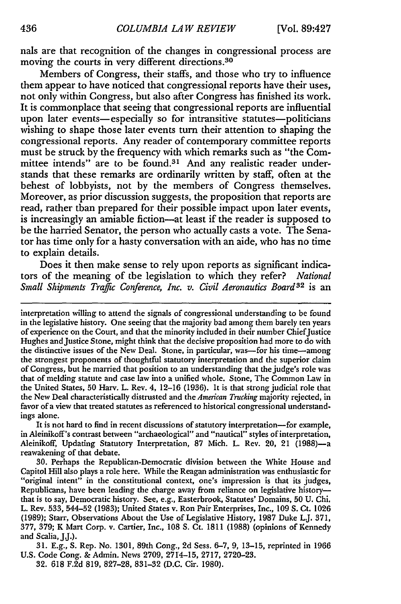nals are that recognition of the changes in congressional process are moving the courts in very different directions.<sup>30</sup>

Members of Congress, their staffs, and those who try to influence them appear to have noticed that congressional reports have their uses, not only within Congress, but also after Congress has finished its work. It is commonplace that seeing that congressional reports are influential upon later events—especially so for intransitive statutes—politicians wishing to shape those later events turn their attention to shaping the congressional reports. Any reader of contemporary committee reports must be struck by the frequency with which remarks such as "the Committee intends" are to be found.31 And any realistic reader understands that these remarks are ordinarily written by staff, often at the behest of lobbyists, not by the members of Congress themselves. Moreover, as prior discussion suggests, the proposition that reports are read, rather than prepared for their possible impact upon later events, is increasingly an amiable fiction-at least if the reader is supposed to be the harried Senator, the person who actually casts a vote. The Senator has time only for a hasty conversation with an aide, who has no time to explain details.

Does it then make sense to rely upon reports as significant indicators of the meaning of the legislation to which they refer? *National Small Shipments Traffic Conference, Inc. v. Civil Aeronautics Board*<sup>32</sup> is an

interpretation willing to attend the signals of congressional understanding to be found in the legislative history. One seeing that the majority had among them barely ten years of experience on the Court, and that the minority included in their number Chief Justice Hughes andJustice Stone, might think that the decisive proposition had more to do with the distinctive issues of the New Deal. Stone, in particular, was—for his time—among the strongest proponents of thoughtful statutory interpretation and the superior claim of Congress, but he married that position to an understanding that the judge's role was that of melding statute and case law into a unified whole. Stone, The Common Law in the United States, 50 Harv. L. Rev. 4, 12-16 (1936). It is that strong judicial role that the New Deal characteristically distrusted and the *American Trucking* majority rejected, in favor of a view that treated statutes as referenced to historical congressional understandings alone.

It is not hard to find in recent discussions of statutory interpretation-for example, in Aleinikoff's contrast between "archaeological" and "nautical" styles of interpretation, Aleinikoff, Updating Statutory Interpretation, 87 Mich. L. Rev. 20, 21 (1988)reawakening of that debate.

30. Perhaps the Republican-Democratic division between the White House and Capitol Hill also plays a role here. While the Reagan administration was enthusiastic for "original intent" in the constitutional context, one's impression is that its judges, Republicans, have been leading the charge away from reliance on legislative historythat is to say, Democratic history. See, e.g., Easterbrook, Statutes' Domains, **50** U. Chi. L. Rev. 533, 544-52 (1983); United States v. Ron Pair Enterprises, Inc., 109 **S.** Ct. 1026 (1989); Starr, Observations About the Use of Legislative History, 1987 Duke LJ. 371, 377, 379; K Mart Corp. v. Cartier, Inc., 108 **S.** Ct. 1811 (1988) (opinions of Kennedy and Scalia, JJ.).

31. E.g., S. Rep. No. 1301, 89th Cong., 2d Sess. 6-7, 9, 13-15, reprinted in 1966 U.S. Code Cong. & Admin. News 2709, 2714-15, 2717, 2720-23.

32. 618 F.2d 819, 827-28, 831-32 (D.C. Cir. 1980).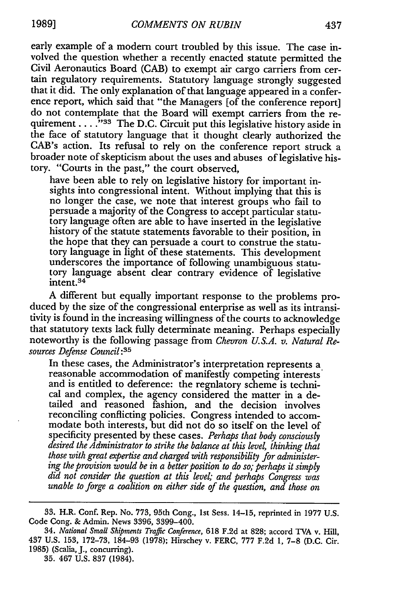early example of a modem court troubled by this issue. The case involved the question whether a recently enacted statute permitted the Civil Aeronautics Board (CAB) to exempt air cargo carriers from certain regulatory requirements. Statutory language strongly suggested that it did. The only explanation of that language appeared in a conference report, which said that "the Managers [of the conference report] do not contemplate that the Board will exempt carriers from the requirement . . . .<sup>793</sup> The D.C. Circuit put this legislative history aside in the face of statutory language that it thought clearly authorized the CAB's action. Its refusal to rely on the conference report struck a broader note of skepticism about the uses and abuses of legislative history. "Courts in the past," the court observed,

have been able to rely on legislative history for important insights into congressional intent. Without implying that this is no longer the case, we note that interest groups who fail to persuade a majority of the Congress to accept particular statutory language often are able to have inserted in the legislative history of the statute statements favorable to their position, in the hope that they can persuade a court to construe the statutory language in light of these statements. This development underscores the importance of following unambiguous statutory language absent clear contrary evidence of legislative intent.<sup>34</sup>

A different but equally important response to the problems produced by the size of the congressional enterprise as well as its intransitivity is found in the increasing willingness of the courts to acknowledge that statutory texts lack fully determinate meaning. Perhaps especially noteworthy is the following passage from *Chevron U.S.A. v. Natural Resources Defense Council* :5

In these cases, the Administrator's interpretation represents a reasonable accommodation of manifestly competing interests and is entitled to deference: the regnlatory scheme is technical and complex, the agency considered the matter in a detailed and reasoned fashion, and the decision involves reconciling conflicting policies. Congress intended to accommodate both interests, but did not do so itself on the level of specificity presented by these cases. *Perhaps that body consciously desired the Administrator to strike the balance at this level, thinking that those with great expertise and charged with responsibility for administering the provision would be in a better position to do so; perhaps it simply did not consider the question at this level; and perhaps Congress was unable to forge a coalition on either side of the question, and those on*

<sup>33.</sup> H.R. Conf. Rep. No. 773, 95th Cong., 1st Sess. 14-15, reprinted in 1977 U.S. Code Cong. & Admin. News 3396, 3399-400.

<sup>34.</sup> *National Small Shipments Traffic Conference,* 618 F.2d at 828; accord TVA v. Hill, 437 U.S. 153, 172-73, 184-93 (1978); Hirschey v. FERC, 777 F.2d **1,** 7-8 (D.C. Cir. 1985) (Scalia, J., concurring).

**<sup>35.</sup>** 467 U.S. 837 (1984).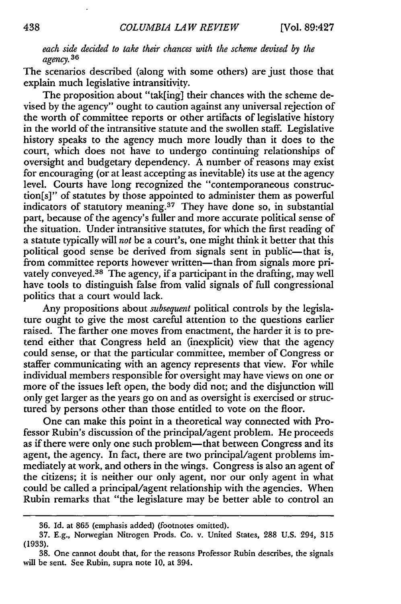*each side decided to take their chances with the scheme devised by the 3 6 agency.*

The scenarios described (along with some others) are just those that explain much legislative intransitivity.

The proposition about "tak[ing] their chances with the scheme devised by the agency" ought to caution against any universal rejection of the worth of committee reports or other artifacts of legislative history in the world of the intransitive statute and the swollen staff. Legislative history speaks to the agency much more loudly than it does to the court, which does not have to undergo continuing relationships of oversight and budgetary dependency. A number of reasons may exist for encouraging (or at least accepting as inevitable) its use at the agency level. Courts have long recognized the "contemporaneous construction[s]" of statutes by those appointed to administer them as powerful indicators of statutory meaning.37 They have done so, in substantial part, because of the agency's fuller and more accurate political sense of the situation. Under intransitive statutes, for which the first reading of a statute typically will *not* be a court's, one might think it better that this political good sense be derived from signals sent in public-that is, from committee reports however written-than from signals more privately conveyed.<sup>38</sup> The agency, if a participant in the drafting, may well have tools to distinguish false from valid signals of full congressional politics that a court would lack.

Any propositions about *subsequent* political controls by the legislature ought to give the most careful attention to the questions earlier raised. The farther one moves from enactment, the harder it is to pretend either that Congress held an (inexplicit) view that the agency could sense, or that the particular committee, member of Congress or staffer communicating with an agency represents that view. For while individual members responsible for oversight may have views on one or more of the issues left open, the body did not; and the disjunction will only get larger as the years go on and as oversight is exercised or structured by persons other than those entitled to vote on the floor.

One can make this point in a theoretical way connected with Professor Rubin's discussion of the principal/agent problem. He proceeds as if there were only one such problem—that between Congress and its agent, the agency. In fact, there are two principal/agent problems immediately at work, and others in the wings. Congress is also an agent of the citizens; it is neither our only agent, nor our only agent in what could be called a principal/agent relationship with the agencies. When Rubin remarks that "the legislature may be better able to control an

<sup>36.</sup> Id. at 865 (emphasis added) (footnotes omitted).

**<sup>37.</sup> E.g.,** Norwegian Nitrogen Prods. Co. v. United States, 288 U.S. 294, **315 (1933).**

**<sup>38.</sup>** One cannot doubt that, for the reasons Professor Rubin describes, the signals will be sent. See Rubin, supra note **10,** at 394.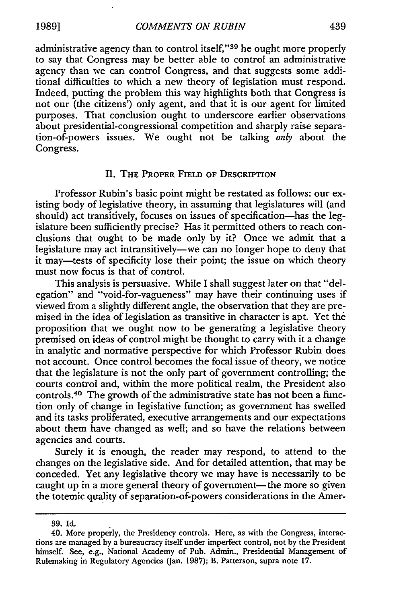administrative agency than to control itself,"<sup>39</sup> he ought more properly to say that Congress may be better able to control an administrative agency than we can control Congress, and that suggests some additional difficulties to which a new theory of legislation must respond. Indeed, putting the problem this way highlights both that Congress is not our (the citizens') only agent, and that it is our agent for limited purposes. That conclusion ought to underscore earlier observations about presidential-congressional competition and sharply raise separation-of-powers issues. We ought not be talking *only* about the Congress.

## II. THE PROPER **FIELD** OF DESCRIPTION

Professor Rubin's basic point might be restated as follows: our existing body of legislative theory, in assuming that legislatures will (and should) act transitively, focuses on issues of specification-has the legislature been sufficiently precise? Has it permitted others to reach conclusions that ought to be made only by it? Once we admit that a legislature may act intransitively-we can no longer hope to deny that it may-tests of specificity lose their point; the issue on which theory must now focus is that of control.

This analysis is persuasive. While I shall suggest later on that "delegation" and "void-for-vagueness" may have their continuing uses if viewed from a slightly different angle, the observation that they are premised in the idea of legislation as transitive in character is apt. Yet the proposition that we ought now to be generating a legislative theory premised on ideas of control might be thought to carry with it a change in analytic and normative perspective for which Professor Rubin does not account. Once control becomes the focal issue of theory, we notice that the legislature is not the only part of government controlling; the courts control and, within the more political realm, the President also controls. 40 The growth of the administrative state has not been a function only of change in legislative function; as government has swelled and its tasks proliferated, executive arrangements and our expectations about them have changed as well; and so have the relations between agencies and courts.

Surely it is enough, the reader may respond, to attend to the changes on the legislative side. And for detailed attention, that may be conceded. Yet any legislative theory we may have is necessarily to be caught up in a more general theory of government-the more so given the totemic quality of separation-of-powers considerations in the Amer-

**<sup>39.</sup> Id.**

<sup>40.</sup> More properly, the Presidency controls. Here, as with the Congress, interactions are managed by a bureaucracy itself under imperfect control, not by the President himself. See, e.g., National Academy of Pub. Admin., Presidential Management of Rulemaking in Regulatory Agencies (Jan. 1987); B. Patterson, supra note 17.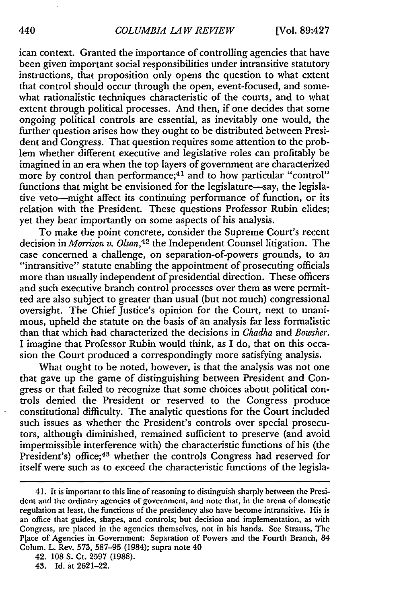ican context. Granted the importance of controlling agencies that have been given important social responsibilities under intransitive statutory instructions, that proposition only opens the question to what extent that control should occur through the open, event-focused, and somewhat rationalistic techniques characteristic of the courts, and to what extent through political processes. And then, if one decides that some ongoing political controls are essential, as inevitably one would, the further question arises how they ought to be distributed between President and Congress. That question requires some attention to the problem whether different executive and legislative roles can profitably be imagined in an era when the top layers of government are characterized more by control than performance;<sup>41</sup> and to how particular "control" functions that might be envisioned for the legislature-say, the legislative veto-might affect its continuing performance of function, or its relation with the President. These questions Professor Rubin elides; yet they bear importantly on some aspects of his analysis.

To make the point concrete, consider the Supreme Court's recent decision in *Morrison v. Olson,42* the Independent Counsel litigation. The case concerned a challenge, on separation-of-powers grounds, to an "intransitive" statute enabling the appointment of prosecuting officials more than usually independent of presidential direction. These officers and such executive branch control processes over them as were permitted are also subject to greater than usual (but not much) congressional oversight. The Chief Justice's opinion for the Court, next to unanimous, upheld the statute on the basis of an analysis far less formalistic than that which had characterized the decisions in *Chadha* and *Bowsher.* I imagine that Professor Rubin would think, as I do, that on this occasion the Court produced a correspondingly more satisfying analysis.

What ought to be noted, however, is that the analysis was not one that gave up the game of distinguishing between President and Congress or that failed to recognize that some choices about political controls denied the President or reserved to the Congress produce constitutional difficulty. The analytic questions for the Court included such issues as whether the President's controls over special prosecutors, although diminished, remained sufficient to preserve (and avoid impermissible interference with) the characteristic functions of his (the President's) office;<sup>43</sup> whether the controls Congress had reserved for itself were such as to exceed the characteristic functions of the legisla-

<sup>41.</sup> It is important to this line of reasoning to distinguish sharply between the President and the ordinary agencies of government, and note that, in the arena of domestic regulation at least, the functions of the presidency also have become intransitive. His is an office that guides, shapes, and controls; but decision and implementation, as with Congress, are placed in the agencies themselves, not in his hands. See Strauss, The Place of Agencies in Government: Separation of Powers and the Fourth Branch, 84 Colum. L. Rev. 573, 587-95 (1984); supra note 40

<sup>42. 108</sup> **S.** Ct. 2597 (1988).

<sup>43.</sup> Id. at 2621-22.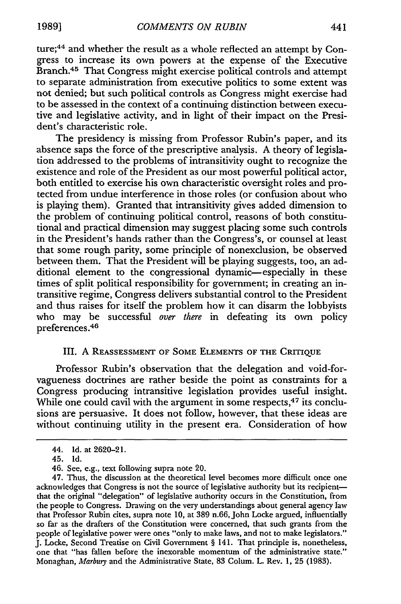ture;<sup>44</sup> and whether the result as a whole reflected an attempt by Congress to increase its own powers at the expense of the Executive Branch.<sup>45</sup> That Congress might exercise political controls and attempt to separate administration from executive politics to some extent was not denied; but such political controls as Congress might exercise had to be assessed in the context of a continuing distinction between executive and legislative activity, and in light of their impact on the President's characteristic role.

The presidency is missing from Professor Rubin's paper, and its absence saps the force of the prescriptive analysis. A theory of legislation addressed to the problems of intransitivity ought to recognize the existence and role of the President as our most powerful political actor, both entitled to exercise his own characteristic oversight roles and protected from undue interference in those roles (or confusion about who is playing them). Granted that intransitivity gives added dimension to the problem of continuing political control, reasons of both constitutional and practical dimension may suggest placing some such controls in the President's hands rather than the Congress's, or counsel at least that some rough parity, some principle of nonexclusion, be observed between them. That the President will be playing suggests, too, an additional element to the congressional dynamic-especially in these times of split political responsibility for government; in creating an intransitive regime, Congress delivers substantial control to the President and thus raises for itself the problem how it can disarm the lobbyists who may be successful *over there* in defeating its own policy preferences. <sup>46</sup>

## III. A REASSESSMENT OF SOME ELEMENTS OF THE CRITIQUE

Professor Rubin's observation that the delegation and void-forvagueness doctrines are rather beside the point as constraints for a Congress producing intransitive legislation provides useful insight. While one could cavil with the argument in some respects,<sup>47</sup> its conclusions are persuasive. It does not follow, however, that these ideas are without continuing utility in the present era. Consideration of how

<sup>44.</sup> Id. at **2620-21.**

<sup>45.</sup> **Id.**

<sup>46.</sup> See, e.g., text following supra note 20.

<sup>47.</sup> Thus, the discussion at the theoretical level becomes more difficult once one acknowledges that Congress is not the source of legislative authority but its recipientthat the original "delegation" of legislative authority occurs in the Constitution, from the people to Congress. Drawing on the very understandings about general agency law that Professor Rubin cites, supra note **10,** at 389 n.66, John Locke argued, influentially so far as the drafters of the Constitution were concerned, that such grants from the people of legislative power were ones "only to make laws, and not to make legislators." J. Locke, Second Treatise on Civil Government § 141. That principle is, nonetheless, one that "has fallen before the inexorable momentum of the administrative state." Monaghan, *Marbury* and the Administrative State, 83 Colum. L. Rev. **1, 25** (1983).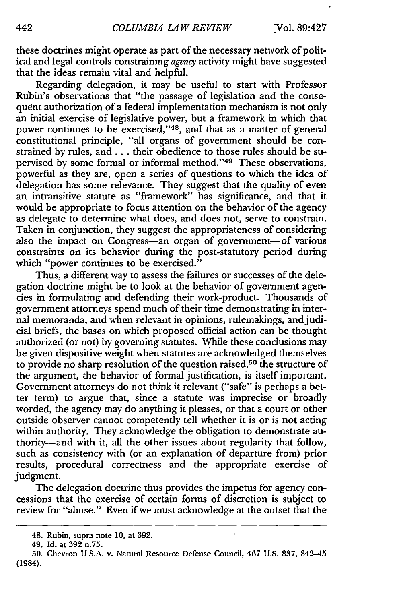these doctrines might operate as part of the necessary network of political and legal controls constraining agency activity might have suggested that the ideas remain vital and helpful.

Regarding delegation, it may be useful to start with Professor Rubin's observations that "the passage of legislation and the consequent authorization of a federal implementation mechanism is not only an initial exercise of legislative power, but a framework in which that power continues to be exercised,"48, and that as a matter of general constitutional principle, "all organs of government should be constrained by rules, and **...** their obedience to those rules should be supervised by some formal or informal method."<sup>49</sup> These observations, powerful as they are, open a series of questions to which the idea of delegation has some relevance. They suggest that the quality of even an intransitive statute as "framework" has significance, and that it would be appropriate to focus attention on the behavior of the agency as delegate to determine what does, and does not, serve to constrain. Taken in conjunction, they suggest the appropriateness of considering also the impact on Congress-an organ of government-of various constraints on its behavior during the post-statutory period during which "power continues to be exercised."

Thus, a different way to assess the failures or successes of the delegation doctrine might be to look at the behavior of government agencies in formulating and defending their work-product. Thousands of government attorneys spend much of their time demonstrating in internal memoranda, and when relevant in opinions, rulemakings, and judicial briefs, the bases on which proposed official action can be thought authorized (or not) by governing statutes. While these conclusions may be given dispositive weight when statutes are acknowledged themselves to provide no sharp resolution of the question raised,<sup>50</sup> the structure of the argument, the behavior of formal justification, is itself important. Government attorneys do not think it relevant ("safe" is perhaps a better term) to argue that, since a statute was imprecise or broadly worded, the agency may do anything it pleases, or that a court or other outside observer cannot competently tell whether it is or is not acting within authority. They acknowledge the obligation to demonstrate authority-and with it, all the other issues about regularity that follow, such as consistency with (or an explanation of departure from) prior results, procedural correctness and the appropriate exercise of judgment.

The delegation doctrine thus provides the impetus for agency concessions that the exercise of certain forms of discretion is subject to review for "abuse." Even if we must acknowledge at the outset that the

<sup>48.</sup> Rubin, supra note **10,** at 392.

<sup>49.</sup> Id. at **392** n.75.

**<sup>50.</sup>** Chevron **U.S.A.** v. Natural Resource Defense Council, 467 **U.S. 837,** 842-45 (1984).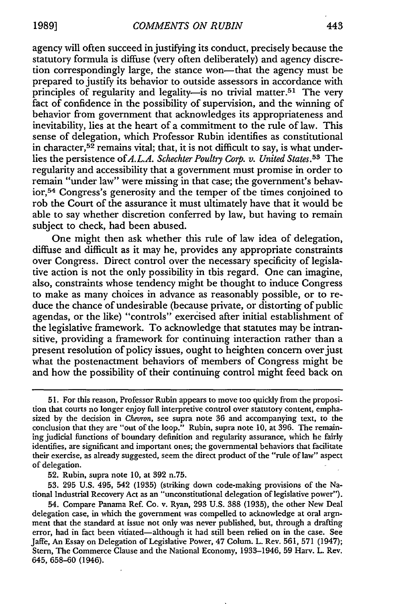agency will often succeed in justifying its conduct, precisely because the statutory formula is diffuse (very often deliberately) and agency discretion correspondingly large, the stance won-that the agency must be prepared to justify its behavior to outside assessors in accordance with principles of regularity and legality-is no trivial matter.<sup>51</sup> The very fact of confidence in the possibility of supervision, and the winning of behavior from government that acknowledges its appropriateness and inevitability, lies at the heart of a commitment to the rule of law. This sense of delegation, which Professor Rubin identifies as constitutional in character,  $5\frac{5}{2}$  remains vital; that, it is not difficult to say, is what underlies the persistence of A.L.A. Schechter Poultry Corp. v. United States.<sup>53</sup> The regularity and accessibility that a government must promise in order to remain "under law" were missing in that case; the government's behavior,54 Congress's generosity and the temper of the times conjoined to rob the Court of the assurance it must ultimately have that it would be able to say whether discretion conferred by law, but having to remain subject to check, had been abused.

One might then ask whether this rule of law idea of delegation, diffuse and difficult as it may be, provides any appropriate constraints over Congress. Direct control over the necessary specificity of legislative action is not the only possibility in this regard. One can imagine, also, constraints whose tendency might be thought to induce Congress to make as many choices in advance as reasonably possible, or to reduce the chance of undesirable (because private, or distorting of public agendas, or the like) "controls" exercised after initial establishment of the legislative framework. To acknowledge that statutes may be intransitive, providing a framework for continuing interaction rather than a present resolution of policy issues, ought to heighten concern over just what the postenactment behaviors of members of Congress might be and how the possibility of their continuing control might feed back on

52. Rubin, supra note **10,** at 392 n.75.

53. 295 U.S. 495, 542 (1935) (striking down code-making provisions of the National Industrial Recovery Act as an "unconstitutional delegation of legislative power").

<sup>51.</sup> For this reason, Professor Rubin appears to move too quickly from the proposition that courts no longer enjoy full interpretive control over statutory content, emphasized by the decision in *Chevron,* see supra note 36 and accompanying text, to the conclusion that they are "out of the loop." Rubin, supra note 10, at 396. The remaining judicial functions of boundary definition and regularity assurance, which he fairly identifies, are significant and important ones; the governmental behaviors that facilitate their exercise, as already suggested, seem the direct product of the "rule of law" aspect of delegation.

<sup>54.</sup> Compare Panama Ref. Co. v. Ryan, 293 U.S. 388 (1935), the other New Deal delegation case, in which the government was compelled to acknowledge at oral argument that the standard at issue not only was never published, but, through a drafting error, had in fact been vitiated-although it had still been relied on in the case. See Jaffe, An Essay on Delegation of Legislative Power, 47 Colum. L. Rev. 561, 571 (1947); Stem, The Commerce Clause and the National Economy, 1933-1946, **59** Harv. L. Rev. 645, **658-60** (1946).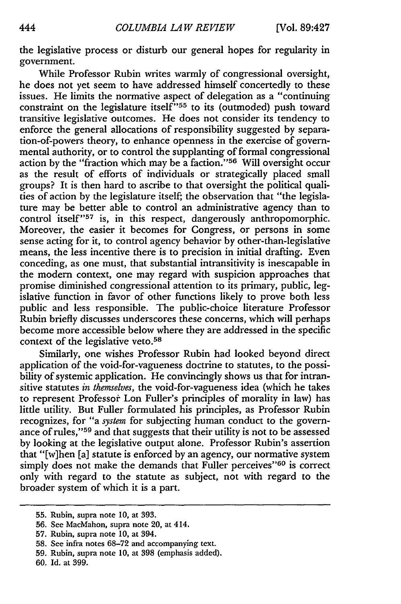the legislative process or disturb our general hopes for regularity in government.

While Professor Rubin writes warmly of congressional oversight, he does not yet seem to have addressed himself concertedly to these issues. He limits the normative aspect of delegation as a "continuing constraint on the legislature itself<sup>755</sup> to its (outmoded) push toward transitive legislative outcomes. He does not consider its tendency to enforce the general allocations of responsibility suggested by separation-of-powers theory, to enhance openness in the exercise of governmental authority, or to control the supplanting of formal congressional action by the "fraction which may be a faction."<sup>56</sup> Will oversight occur as the result of efforts of individuals or strategically placed small groups? It is then hard to ascribe to that oversight the political qualities of action by the legislature itself; the observation that "the legislature may be better able to control an administrative agency than to control itself<sup>"57</sup> is, in this respect, dangerously anthropomorphic. Moreover, the easier it becomes for Congress, or persons in some sense acting for it, to control agency behavior by other-than-legislative means, the less incentive there is to precision in initial drafting. Even conceding, as one must, that substantial intransitivity is inescapable in the modern context, one may regard with suspicion approaches that promise diminished congressional attention to its primary, public, legislative function in favor of other functions likely to prove both less public and less responsible. The public-choice literature Professor Rubin briefly discusses underscores these concerns, which will perhaps become more accessible below where they are addressed in the specific context of the legislative veto.<sup>58</sup>

Similarly, one wishes Professor Rubin had looked beyond direct application of the void-for-vagueness doctrine to statutes, to the possibility of systemic application. He convincingly shows us that for intransitive statutes *in themselves,* the void-for-vagueness idea (which he takes to represent Professor Lon Fuller's principles of morality in law) has little utility. But Fuller formulated his principles, as Professor Rubin recognizes, for "a *system* for subjecting human conduct to the governance of rules,"<sup>59</sup> and that suggests that their utility is not to be assessed by looking at the legislative output alone. Professor Rubin's assertion that "[w]hen [a] statute is enforced by an agency, our normative system simply does not make the demands that Fuller perceives"<sup>60</sup> is correct only with regard to the statute as subject, not with regard to the broader system of which it is a part.

**<sup>55.</sup>** Rubin, supra note **10,** at 393.

**<sup>56.</sup>** See MacMahon, supra note **20,** at 414.

**<sup>57.</sup>** Rubin, supra note **10,** at 394.

**<sup>58.</sup>** See infra notes **68-72** and accompanying text.

**<sup>59.</sup>** Rubin, supra note **10,** at **398** (emphasis added).

**<sup>60.</sup>** Id. at **399.**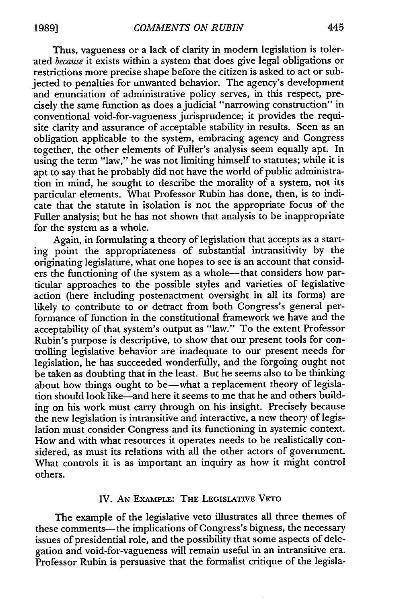Thus, vagueness or a lack of clarity in modem legislation is tolerated *because* it exists within a system that does give legal obligations or restrictions more precise shape before the citizen is asked to act or subjected to penalties for unwanted behavior. The agency's development and enunciation of administrative policy serves, in this respect, precisely the same function as does ajudicial "narrowing construction" in conventional void-for-vagueness jurisprudence; it provides the requisite clarity and assurance of acceptable stability in results. Seen as an obligation applicable to the system, embracing agency and Congress together, the other elements of Fuller's analysis seem equally apt. In using the term "law," he was not limiting himself to statutes; while it is apt to say that he probably did not have the world of public administration in mind, he sought to describe the morality of a system, not its particular elements. What Professor Rubin has done, then, is to indicate that the statute in isolation is not the appropriate focus of the Fuller analysis; but he has not shown that analysis to be inappropriate for the system as a whole.

Again, in formulating a theory of legislation that accepts as a starting point the appropriateness of substantial intransitivity by the originating legislature, what one hopes to see is an account that considers the functioning of the system as a whole--that considers how particular approaches to the possible styles and varieties of legislative action (here including postenactment oversight in all its forms) are likely to contribute to or detract from both Congress's general performance of function in the constitutional framework we have and the acceptability of that system's output as "law." To the extent Professor Rubin's purpose is descriptive, to show that our present tools for controlling legislative behavior are inadequate to our present needs for legislation, he has succeeded wonderfully, and the forgoing ought not be taken as doubting that in the least. But he seems also to be thinking about how things ought to be-what a replacement theory of legislation should look like-and here it seems to me that he and others building on his work must carry through on his insight. Precisely because the new legislation is intransitive and interactive, a new theory of legislation must consider Congress and its functioning in systemic context. How and with what resources it operates needs to be realistically considered, as must its relations with all the other actors of government. What controls it is as important an inquiry as how it might control others.

#### IV. AN EXAMPLE: THE LEGISLATIVE VETO

The example of the legislative veto illustrates all three themes of these comments-the implications of Congress's bigness, the necessary issues of presidential role, and the possibility that some aspects of delegation and void-for-vagueness will remain useful in an intransitive era. Professor Rubin is persuasive that the formalist critique of the legisla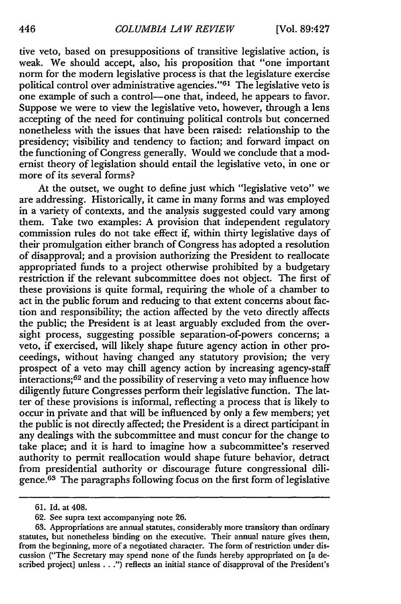tive veto, based on presuppositions of transitive legislative action, is weak. We should accept, also, his proposition that "one important norm for the modern legislative process is that the legislature exercise political control over administrative agencies."<sup>61</sup> The legislative veto is one example of such a control-one that, indeed, he appears to favor. Suppose we were to view the legislative veto, however, through a lens accepting of the need for continuing political controls but concerned nonetheless with the issues that have been raised: relationship to the presidency; visibility and tendency to faction; and forward impact on the functioning of Congress generally. Would we conclude that a modernist theory of legislation should entail the legislative veto, in one or more of its several forms?

At the outset, we ought to define just which "legislative veto" we are addressing. Historically, it came in many forms and was employed in a variety of contexts, and the analysis suggested could vary among them. Take two examples: A provision that independent regulatory commission rules do not take effect if, within thirty legislative days of their promulgation either branch of Congress has adopted a resolution of disapproval; and a provision authorizing the President to reallocate appropriated funds to a project otherwise prohibited by a budgetary restriction if the relevant subcommittee does not object. The first of these provisions is quite formal, requiring the whole of a chamber to act in the public forum and reducing to that extent concerns about faction and responsibility; the action affected by the veto directly affects the public; the President is at least arguably excluded from the oversight process, suggesting possible separation-of-powers concerns; a veto, if exercised, will likely shape future agency action in other proceedings, without having changed any statutory provision; the very prospect of a veto may chill agency action by increasing agency-staff  $interactions; 62$  and the possibility of reserving a veto may influence how diligently future Congresses perform their legislative function. The latter of these provisions is informal, reflecting a process that is likely to occur in private and that will be influenced by only a few members; yet the public is not directly affected; the President is a direct participant in any dealings with the subcommittee and must concur for the change to take place; and it is hard to imagine how a subcommittee's reserved authority to permit reallocation would shape future behavior, detract from presidential authority or discourage future congressional diligence.63 The paragraphs following focus on the first form of legislative

<sup>61.</sup> Id. at 408.

<sup>62.</sup> See supra text accompanying note 26.

<sup>63.</sup> Appropriations are annual statutes, considerably more transitory than ordinary statutes, but nonetheless binding on the executive. Their annual nature gives them, from the beginning, more of a negotiated character. The form of restriction under discussion ("The Secretary may spend none of the funds hereby appropriated on [a described project] unless **. .. ")** reflects an initial stance of disapproval of the President's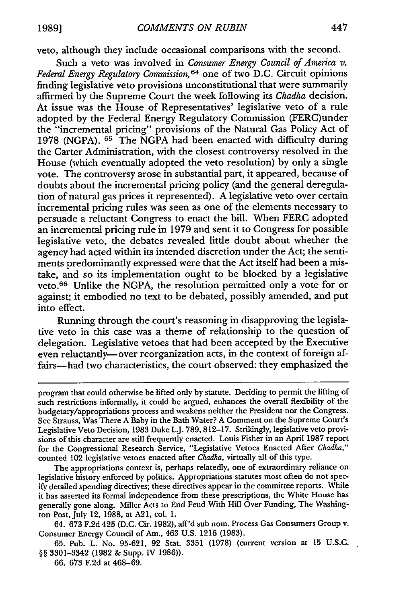veto, although they include occasional comparisons with the second.

Such a veto was involved in *Consumer Energy Council of America v. Federal Energy Regulatory Commission,64* one of two D.C. Circuit opinions finding legislative veto provisions unconstitutional that were summarily affirmed by the Supreme Court the week following its *Chadha* decision. At issue was the House of Representatives' legislative veto of a rule adopted by the Federal Energy Regulatory Commission (FERC)under the "incremental pricing" provisions of the Natural Gas Policy Act of 1978 (NGPA). **65** The NGPA had been enacted with difficulty during the Carter Administration, with the closest controversy resolved in the House (which eventually adopted the veto resolution) by only a single vote. The controversy arose in substantial part, it appeared, because of doubts about the incremental pricing policy (and the general deregulation of natural gas prices it represented). A legislative veto over certain incremental pricing rules was seen as one of the elements necessary to persuade a reluctant Congress to enact the bill. When FERC adopted an incremental pricing rule in 1979 and sent it to Congress for possible legislative veto, the debates revealed little doubt about whether the agency had acted within its intended discretion under the Act; the sentiments predominantly expressed were that the Act itself had been a mistake, and so its implementation ought to be blocked by a legislative veto.66 Unlike the NGPA, the resolution permitted only a vote for or against; it embodied no text to be debated, possibly amended, and put into effect.

Running through the court's reasoning in disapproving the legislative veto in this case was a theme of relationship to the question of delegation. Legislative vetoes that had been accepted by the Executive even reluctantly-over reorganization acts, in the context of foreign affairs-had two characteristics, the court observed: they emphasized the

The appropriations context is, perhaps relatedly, one of extraordinary reliance on legislative history enforced by politics. Appropriations statutes most often do not spec**ify** detailed spending directives; these directives appear in the committee reports. While it has asserted its formal independence from these prescriptions, the White House has generally gone along. Miller Acts to End Feud With Hill Over Funding, The Washington Post, July 12, 1988, at A21, col. 1.

64. **673** F.2d 425 (D.C. Cir. 1982), aff'd sub nom. Process Gas Consumers Group v. Consumer Energy Council of Am., 463 **U.S.** 1216 **(1983).**

**65.** Pub. L. No. 95-621, 92 Star. 3351 (1978) (current version at **15** U.S.C. §§ 3301-3342 (1982 & Supp. IV 1986)).

program that could otherwise be lifted only by statute. Deciding to permit the lifting of such restrictions informally, it could be argued, enhances the overall flexibility of the budgetary/appropriations process and weakens neither the President nor the Congress. See Strauss, Was There A Baby in the Bath Water? A Comment on the Supreme Court's Legislative Veto Decision, 1983 Duke LJ. 789, 812-17. Strikingly, legislative veto provisions of this character are still frequently enacted. Louis Fisher in an April 1987 report for the Congressional Research Service, "Legislative Vetoes Enacted After Chadha," counted 102 legislative vetoes enacted after Chadha, virtually all of this type.

**<sup>66. 673</sup>** F.2d at 468-69.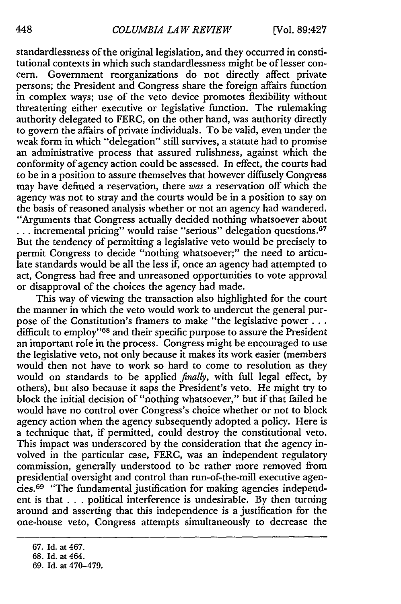standardlessness of the original legislation, and they occurred in constitutional contexts in which such standardlessness might be of lesser concern. Government reorganizations do not directly affect private persons; the President and Congress share the foreign affairs function in complex ways; use of the veto device promotes flexibility without threatening either executive or legislative function. The rulemaking authority delegated to FERC, on the other hand, was authority directly to govern the affairs of private individuals. To be valid, even under the weak form in which "delegation" still survives, a statute had to promise an administrative process that assured rulishness, against which the conformity of agency action could be assessed. In effect, the courts had to be in a position to assure themselves that however diffusely Congress may have defined a reservation, there was a reservation off which the agency was not to stray and the courts would be in a position to say on the basis of reasoned analysis whether or not an agency had wandered. "Arguments that Congress actually decided nothing whatsoever about **...** incremental pricing" would raise "serious" delegation questions. <sup>67</sup> But the tendency of permitting a legislative veto would be precisely to permit Congress to decide "nothing whatsoever;" the need to articulate standards would be all the less if, once an agency had attempted to act, Congress had free and unreasoned opportunities to vote approval or disapproval of the choices the agency had made.

This way of viewing the transaction also highlighted for the court the manner in which the veto would work to undercut the general purpose of the Constitution's framers to make "the legislative power... difficult to employ"<sup>68</sup> and their specific purpose to assure the President an important role in the process. Congress might be encouraged to use the legislative veto, not only because it makes its work easier (members would then not have to work so hard to come to resolution as they would on standards to be applied *finally,* with full legal effect, **by** others), but also because it saps the President's veto. He might try to block the initial decision of "nothing whatsoever," but if that failed he would have no control over Congress's choice whether or not to block agency action when the agency subsequently adopted a policy. Here is a technique that, if permitted, could destroy the constitutional veto. This impact was underscored **by** the consideration that the agency involved in the particular case, FERC, was an independent regulatory commission, generally understood to be rather more removed from presidential oversight and control than run-of-the-mill executive agencies. 69 "The fundamental justification for making agencies independent is that **. . .** political interference is undesirable. **By** then turning around and asserting that this independence is a justification for the one-house veto, Congress attempts simultaneously to decrease the

**<sup>67.</sup>** Id. at 467.

**<sup>68.</sup>** Id. at 464.

**<sup>69.</sup> Id.** at 470-479.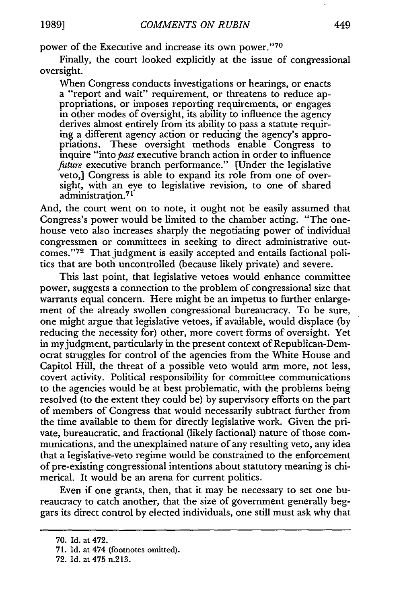power of the Executive and increase its own power."70

Finally, the court looked explicitly at the issue of congressional oversight.

When Congress conducts investigations or hearings, or enacts a "report and wait" requirement, or threatens to reduce appropriations, or imposes reporting requirements, or engages in other modes of oversight, its ability to influence the agency derives almost entirely from its ability to pass a statute requiring a different agency action or reducing the agency's appropriations. These oversight methods enable Congress to inquire "into *past* executive branch action in order to influence *future* executive branch performance." [Under the legislative veto,] Congress is able to expand its role from one of oversight, with an eye to legislative revision, to one of shared administration.<sup>71</sup>

And, the court went on to note, it ought not be easily assumed that Congress's power would be limited to the chamber acting. "The onehouse veto also increases sharply the negotiating power of individual congressmen or committees in seeking to direct administrative outcomes." 72 That judgment is easily accepted and entails factional politics that are both uncontrolled (because likely private) and severe.

This last point, that legislative vetoes would enhance committee power, suggests a connection to the problem of congressional size that warrants equal concern. Here might be an impetus to further enlargement of the already swollen congressional bureaucracy. To be sure, one might argue that legislative vetoes, if available, would displace (by reducing the necessity for) other, more covert forms of oversight. Yet in my judgment, particularly in the present context of Republican-Democrat struggles for control of the agencies from the White House and Capitol Hill, the threat of a possible veto would arm more, not less, covert activity. Political responsibility for committee communications to the agencies would be at best problematic, with the problems being resolved (to the extent they could be) by supervisory efforts on the part of members of Congress that would necessarily subtract further from the time available to them for directly legislative work. Given the private, bureaucratic, and fractional (likely factional) nature of those communications, and the unexplained nature of any resulting veto, any idea that a legislative-veto regime would be constrained to the enforcement of pre-existing congressional intentions about statutory meaning is chimerical. It would be an arena for current politics.

Even if one grants, then, that it may be necessary to set one bureaucracy to catch another, that the size of government generally beggars its direct control by elected individuals, one still must ask why that

<sup>70.</sup> Id. at 472.

<sup>71.</sup> Id. at 474 (footnotes omitted).

<sup>72.</sup> Id. at 475 n.213.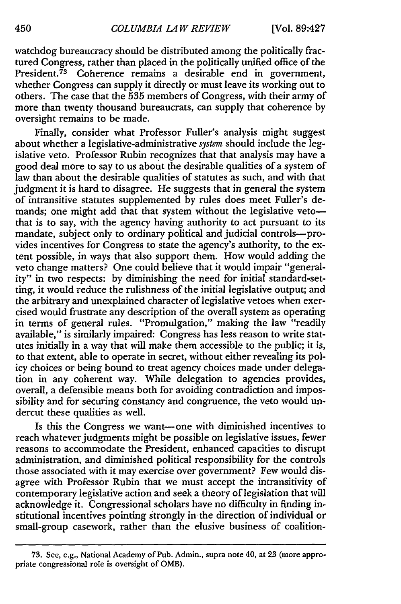watchdog bureaucracy should be distributed among the politically fractured Congress, rather than placed in the politically unified office of the President. $7^3$  Coherence remains a desirable end in government, whether Congress can supply it directly or must leave its working out to others. The case that the 535 members of Congress, with their army of more than twenty thousand bureaucrats, can supply that coherence by oversight remains to be made.

Finally, consider what Professor Fuller's analysis might suggest about whether a legislative-administrative *system* should include the legislative veto. Professor Rubin recognizes that that analysis may have a good deal more to say to us about the desirable qualities of a system of law than about the desirable qualities of statutes as such, and with that judgment it is hard to disagree. He suggests that in general the system of intransitive statutes supplemented by rules does meet Fuller's demands; one might add that that system without the legislative vetothat is to say, with the agency having authority to act pursuant to its mandate, subject only to ordinary political and judicial controls-provides incentives for Congress to state the agency's authority, to the extent possible, in ways that also support them. How would adding the veto change matters? One could believe that it would impair "generality" in two respects: by diminishing the need for initial standard-setting, it would reduce the rulishness of the initial legislative output; and the arbitrary and unexplained character of legislative vetoes when exercised would frustrate any description of the overall system as operating in terms of general rules. "Promulgation," making the law "readily available," is similarly impaired: Congress has less reason to write statutes initially in a way that will make them accessible to the public; it is, to that extent, able to operate in secret, without either revealing its policy choices or being bound to treat agency choices made under delegation in any coherent way. While delegation to agencies provides, overall, a defensible means both for avoiding contradiction and impossibility and for securing constancy and congruence, the veto would undercut these qualities as well.

Is this the Congress we want-one with diminished incentives to reach whatever judgments might be possible on legislative issues, fewer reasons to accommodate the President, enhanced capacities to disrupt administration, and diminished political responsibility for the controls those associated with it may exercise over government? Few would disagree with Professor Rubin that we must accept the intransitivity of contemporary legislative action and seek a theory of legislation that will acknowledge it. Congressional scholars have no difficulty in finding institutional incentives pointing strongly in-the direction of individual or small-group casework, rather than the elusive business of coalition-

**<sup>73.</sup>** See, e.g., National Academy of Pub. Admin., supra note 40, at 23 (more appropriate congressional role is oversight of OMB).